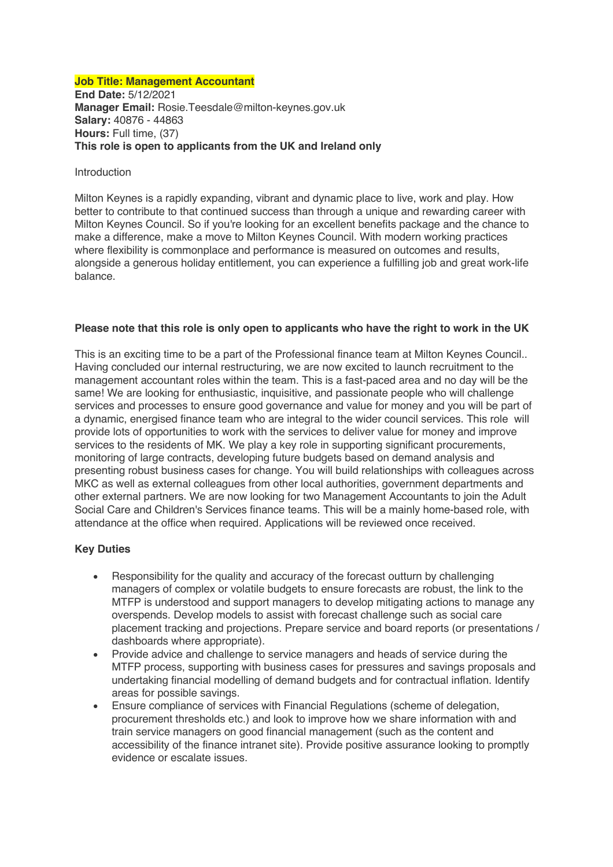### **Job Title: Management Accountant**

**End Date:** 5/12/2021 **Manager Email:** Rosie.Teesdale@milton-keynes.gov.uk **Salary:** 40876 - 44863 **Hours:** Full time, (37) **This role is open to applicants from the UK and Ireland only**

### Introduction

Milton Keynes is a rapidly expanding, vibrant and dynamic place to live, work and play. How better to contribute to that continued success than through a unique and rewarding career with Milton Keynes Council. So if you're looking for an excellent benefits package and the chance to make a difference, make a move to Milton Keynes Council. With modern working practices where flexibility is commonplace and performance is measured on outcomes and results, alongside a generous holiday entitlement, you can experience a fulfilling job and great work-life balance.

## **Please note that this role is only open to applicants who have the right to work in the UK**

This is an exciting time to be a part of the Professional finance team at Milton Keynes Council.. Having concluded our internal restructuring, we are now excited to launch recruitment to the management accountant roles within the team. This is a fast-paced area and no day will be the same! We are looking for enthusiastic, inquisitive, and passionate people who will challenge services and processes to ensure good governance and value for money and you will be part of a dynamic, energised finance team who are integral to the wider council services. This role will provide lots of opportunities to work with the services to deliver value for money and improve services to the residents of MK. We play a key role in supporting significant procurements, monitoring of large contracts, developing future budgets based on demand analysis and presenting robust business cases for change. You will build relationships with colleagues across MKC as well as external colleagues from other local authorities, government departments and other external partners. We are now looking for two Management Accountants to join the Adult Social Care and Children's Services finance teams. This will be a mainly home-based role, with attendance at the office when required. Applications will be reviewed once received.

## **Key Duties**

- Responsibility for the quality and accuracy of the forecast outturn by challenging managers of complex or volatile budgets to ensure forecasts are robust, the link to the MTFP is understood and support managers to develop mitigating actions to manage any overspends. Develop models to assist with forecast challenge such as social care placement tracking and projections. Prepare service and board reports (or presentations / dashboards where appropriate).
- Provide advice and challenge to service managers and heads of service during the MTFP process, supporting with business cases for pressures and savings proposals and undertaking financial modelling of demand budgets and for contractual inflation. Identify areas for possible savings.
- Ensure compliance of services with Financial Regulations (scheme of delegation, procurement thresholds etc.) and look to improve how we share information with and train service managers on good financial management (such as the content and accessibility of the finance intranet site). Provide positive assurance looking to promptly evidence or escalate issues.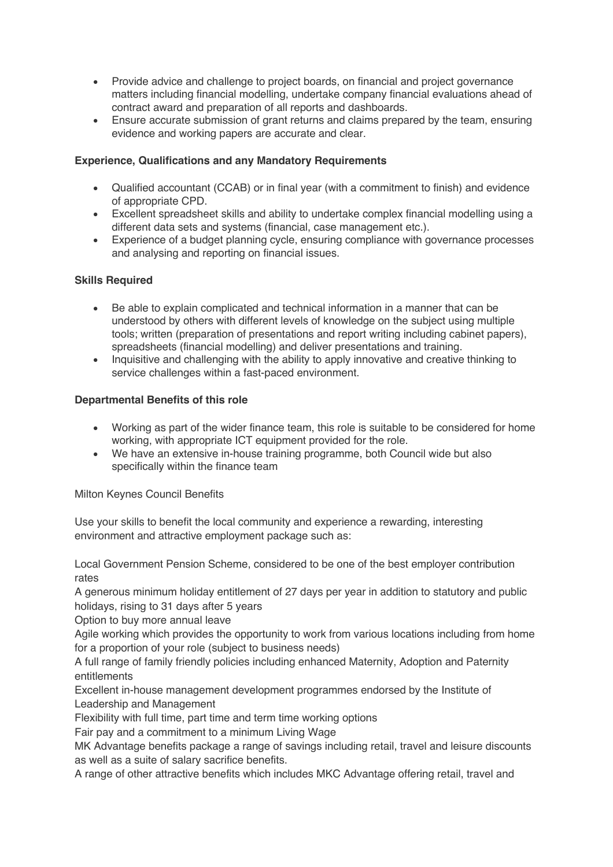- Provide advice and challenge to project boards, on financial and project governance matters including financial modelling, undertake company financial evaluations ahead of contract award and preparation of all reports and dashboards.
- Ensure accurate submission of grant returns and claims prepared by the team, ensuring evidence and working papers are accurate and clear.

# **Experience, Qualifications and any Mandatory Requirements**

- Qualified accountant (CCAB) or in final year (with a commitment to finish) and evidence of appropriate CPD.
- Excellent spreadsheet skills and ability to undertake complex financial modelling using a different data sets and systems (financial, case management etc.).
- Experience of a budget planning cycle, ensuring compliance with governance processes and analysing and reporting on financial issues.

# **Skills Required**

- Be able to explain complicated and technical information in a manner that can be understood by others with different levels of knowledge on the subject using multiple tools; written (preparation of presentations and report writing including cabinet papers), spreadsheets (financial modelling) and deliver presentations and training.
- Inquisitive and challenging with the ability to apply innovative and creative thinking to service challenges within a fast-paced environment.

# **Departmental Benefits of this role**

- Working as part of the wider finance team, this role is suitable to be considered for home working, with appropriate ICT equipment provided for the role.
- We have an extensive in-house training programme, both Council wide but also specifically within the finance team

## Milton Keynes Council Benefits

Use your skills to benefit the local community and experience a rewarding, interesting environment and attractive employment package such as:

Local Government Pension Scheme, considered to be one of the best employer contribution rates

A generous minimum holiday entitlement of 27 days per year in addition to statutory and public holidays, rising to 31 days after 5 years

Option to buy more annual leave

Agile working which provides the opportunity to work from various locations including from home for a proportion of your role (subject to business needs)

A full range of family friendly policies including enhanced Maternity, Adoption and Paternity entitlements

Excellent in-house management development programmes endorsed by the Institute of Leadership and Management

Flexibility with full time, part time and term time working options

Fair pay and a commitment to a minimum Living Wage

MK Advantage benefits package a range of savings including retail, travel and leisure discounts as well as a suite of salary sacrifice benefits.

A range of other attractive benefits which includes MKC Advantage offering retail, travel and